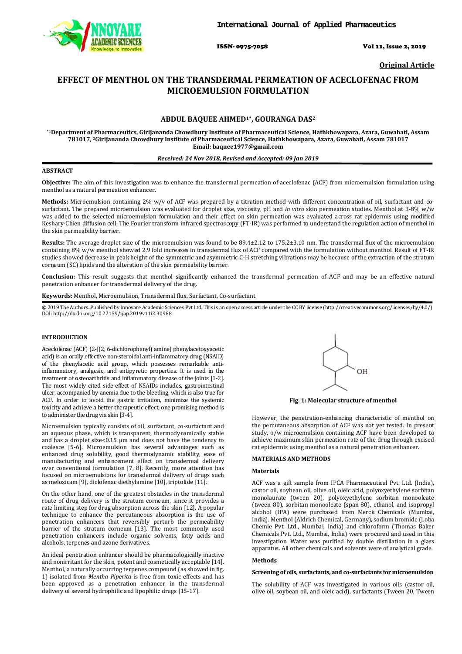

ISSN- 0975-7058 Vol 11, Issue 2, 2019

**Original Article** 

# **EFFECT OF MENTHOL ON THE TRANSDERMAL PERMEATION OF ACECLOFENAC FROM MICROEMULSION FORMULATION**

# **ABDUL BAQUEE AHMED1\*, GOURANGA DAS<sup>2</sup>**

**\*1Department of Pharmaceutics, Girijananda Chowdhury Institute of Pharmaceutical Science, Hathkhowapara, Azara, Guwahati, Assam 781017, 2Girijananda Chowdhury Institute of Pharmaceutical Science, Hathkhowapara, Azara, Guwahati, Assam 781017 Email: baquee1977@gmail.com** 

## *Received: 24 Nov 2018, Revised and Accepted: 09 Jan 2019*

## **ABSTRACT**

**Objective:** The aim of this investigation was to enhance the transdermal permeation of aceclofenac (ACF) from microemulsion formulation using menthol as a natural permeation enhancer.

**Methods:** Microemulsion containing 2% w/v of ACF was prepared by a titration method with different concentration of oil, surfactant and cosurfactant. The prepared microemulsion was evaluated for droplet size, viscosity, pH and *in vitro* skin permeation studies. Menthol at 3-8% w/w was added to the selected microemulsion formulation and their effect on skin permeation was evaluated across rat epidermis using modified Keshary-Chien diffusion cell. The Fourier transform infrared spectroscopy (FT-IR) was performed to understand the regulation action of menthol in the skin permeability barrier.

**Results:** The average droplet size of the microemulsion was found to be 89.4±2.12 to 175.2±3.10 nm. The transdermal flux of the microemulsion containing 8% w/w menthol showed 2.9 fold increases in transdermal flux of ACF compared with the formulation without menthol. Result of FT-IR studies showed decrease in peak height of the symmetric and asymmetric C-H stretching vibrations may be because of the extraction of the stratum corneum (SC) lipids and the alteration of the skin permeability barrier.

**Conclusion:** This result suggests that menthol significantly enhanced the transdermal permeation of ACF and may be an effective natural penetration enhancer for transdermal delivery of the drug.

**Keywords:** Menthol, Microemulsion, Transdermal flux, Surfactant, Co-surfactant

© 2019 The Authors. Published by Innovare Academic Sciences Pvt Ltd. This is an open access article under the CC BY license (http://creativecommons.org/licenses/by/4.0/) DOI: http://dx.doi.org/10.22159/ijap.2019v11i2.30988

## **INTRODUCTION**

Aceclofenac (ACF) (2-[(2, 6-dichlorophenyl) amine] phenylacetoxyacetic acid) is an orally effective non-steroidal anti-inflammatory drug (NSAID) of the phenylacetic acid group, which possesses remarkable antiinflammatory, analgesic, and antipyretic properties. It is used in the treatment of osteoarthritis and inflammatory disease of the joints [1-2]. The most widely cited side-effect of NSAIDs includes, gastrointestinal ulcer, accompanied by anemia due to the bleeding, which is also true for ACF. In order to avoid the gastric irritation, minimize the systemic toxicity and achieve a better therapeutic effect, one promising method is to administer the drug via skin [3-4].

Microemulsion typically consists of oil, surfactant, co-surfactant and an aqueous phase, which is transparent, thermodynamically stable and has a droplet size<0.15 µm and does not have the tendency to coalesce [5-6]. Microemulsion has several advantages such as enhanced drug solubility, good thermodynamic stability, ease of manufacturing and enhancement effect on transdermal delivery over conventional formulation [7, 8]. Recently, more attention has focused on microemulsions for transdermal delivery of drugs such as meloxicam [9], diclofenac diethylamine [10], triptolide [11].

On the other hand, one of the greatest obstacles in the transdermal route of drug delivery is the stratum corneum, since it provides a rate limiting step for drug absorption across the skin [12]. A popular technique to enhance the percutaneous absorption is the use of penetration enhancers that reversibly perturb the permeability barrier of the stratum corneum [13]. The most commonly used penetration enhancers include organic solvents, fatty acids and alcohols, terpenes and azone derivatives.

An ideal penetration enhancer should be pharmacologically inactive and nonirritant for the skin, potent and cosmetically acceptable [14]. Menthol, a naturally occurring terpenes compound (as showed in fig. 1) isolated from *Mentha Piperita* is free from toxic effects and has been approved as a penetration enhancer in the transdermal delivery of several hydrophilic and lipophilic drugs [15-17].



**Fig. 1: Molecular structure of menthol** 

However, the penetration-enhancing characteristic of menthol on the percutaneous absorption of ACF was not yet tested. In present study, o/w microemulsion containing ACF have been developed to achieve maximum skin permeation rate of the drug through excised rat epidermis using menthol as a natural penetration enhancer.

## **MATERIALS AND METHODS**

## **Materials**

ACF was a gift sample from IPCA Pharmaceutical Pvt. Ltd. (India), castor oil, soybean oil, olive oil, oleic acid, polyoxyethylene sorbitan monolaurate (tween 20), polyoxyethylene sorbitan monooleate (tween 80), sorbitan monooleate (span 80), ethanol, and isopropyl alcohol (IPA) were purchased from Merck Chemicals (Mumbai, India). Menthol (Aldrich Chemical, Germany), sodium bromide (Loba Chemie Pvt. Ltd., Mumbai, India) and chloroform (Thomas Baker Chemicals Pvt. Ltd., Mumbai, India) were procured and used in this investigation. Water was purified by double distillation in a glass apparatus. All other chemicals and solvents were of analytical grade.

#### **Methods**

#### **Screening of oils, surfactants, and co-surfactants for microemulsion**

The solubility of ACF was investigated in various oils (castor oil, olive oil, soybean oil, and oleic acid), surfactants (Tween 20, Tween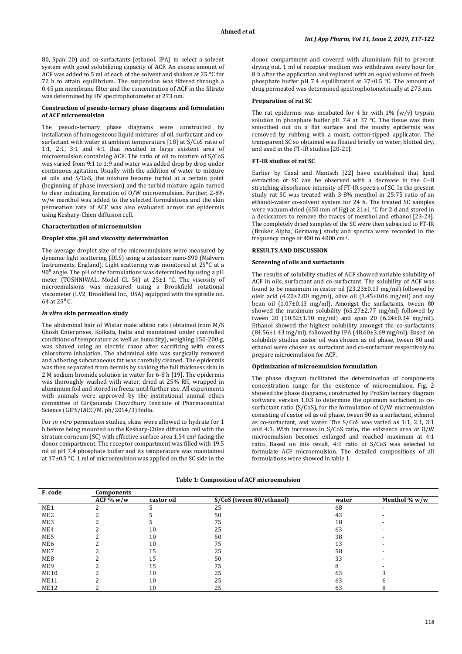80, Span 20) and co-surfactants (ethanol, IPA) to select a solvent system with good solubilizing capacity of ACF. An excess amount of ACF was added to 5 ml of each of the solvent and shaken at 25 °C for 72 h to attain equilibrium. The suspension was filtered through a 0.45 μm membrane filter and the concentration of ACF in the filtrate was determined by UV spectrophotometer at 273 nm.

#### **Construction of pseudo-ternary phase diagrams and formulation of ACF microemulsion**

The pseudo-ternary phase diagrams were constructed by installation of homogeneous liquid mixtures of oil, surfactant and cosurfactant with water at ambient temperature [18] at S/CoS ratio of 1:1, 2:1, 3:1 and 4:1 that resulted in large existent area of microemulsion containing ACF. The ratio of oil to mixture of S/CoS was varied from 9:1 to 1:9 and water was added drop by drop under continuous agitation. Usually with the addition of water to mixture of oils and S/CoS, the mixture become turbid at a certain point (beginning of phase inversion) and the turbid mixture again turned to clear indicating formation of O/W microemulsion. Further, 2-8% w/w menthol was added to the selected formulations and the skin permeation rate of ACF was also evaluated across rat epidermis using Keshary-Chien diffusion cell.

## **Characterization of microemulsion**

### **Droplet size, pH and viscosity determination**

The average droplet size of the microemulsions were measured by dynamic light scattering (DLS) using a zetasizer nano-S90 (Malvern Instruments, England). Light scattering was monitored at 25⁰C at a  $90<sup>0</sup>$  angle. The pH of the formulations was determined by using a pH meter (TOSHNIWAL, Model CL 54) at 25±1 °C. The viscosity of microemulsions was measured using a Brookfield rotational viscometer (LV2, Brookfield Inc., USA) equipped with the spindle no. 64 at  $25^{\circ}$  C.

#### *In vitro* **skin permeation study**

The abdominal hair of Wistar male albino rats (obtained from M/S Ghosh Enterprises, Kolkata, India and maintained under controlled conditions of temperature as well as humidity), weighing 150-200 g, was shaved using an electric razor after sacrificing with excess chloroform inhalation. The abdominal skin was surgically removed and adhering subcutaneous fat was carefully cleaned. The epidermis was then separated from dermis by soaking the full thickness skin in 2 M sodium bromide solution in water for 6-8 h [19]**.** The epidermis was thoroughly washed with water, dried at 25% RH, wrapped in aluminium foil and stored in freeze until further use. All experiments with animals were approved by the institutional animal ethics committee of Girijananda Chowdhury Institute of Pharmaceutical Science (GIPS/IAEC/M. ph/2014/3) India.

For *in vitro* permeation studies, skins were allowed to hydrate for 1 h before being mounted on the Keshary-Chien diffusion cell with the stratum corneum (SC) with effective surface area 1.54 cm2 facing the donor compartment. The receptor compartment was filled with 19.5 ml of pH 7.4 phosphate buffer and its temperature was maintained at 37±0.5 °C. 1 ml of microemulsion was applied on the SC side in the donor compartment and covered with aluminium foil to prevent drying out. 1 ml of receptor medium was withdrawn every hour for 8 h after the application and replaced with an equal volume of fresh phosphate buffer pH 7.4 equilibrated at 37±0.5 °C. The amount of drug permeated was determined spectrophotometrically at 273 nm.

### **Preparation of rat SC**

The rat epidermis was incubated for 4 hr with  $1\%$  (w/v) trypsin solution in phosphate buffer pH 7.4 at 37 °C. The tissue was then smoothed out on a flat surface and the mushy epidermis was removed by rubbing with a moist, cotton-tipped applicator. The transparent SC so obtained was floated briefly on water, blotted dry, and used in the FT-IR studies [20-21].

### **FT-IR studies of rat SC**

Earlier by Casal and Mantsch [22] have established that lipid extraction of SC can be observed with a decrease in the C–H stretching absorbance intensity of FT-IR spectra of SC. In the present study rat SC was treated with 3-8% menthol in 25:75 ratio of an ethanol-water co-solvent system for 24 h. The treated SC samples were vacuum-dried (650 mm of Hg) at 21±1 °C for 2 d and stored in a desiccators to remove the traces of menthol and ethanol [23-24]. The completely dried samples of the SC were then subjected to FT-IR (Bruker Alpha, Germany) study and spectra were recorded in the frequency range of 400 to 4000 cm-1.

## **RESULTS AND DISCUSSION**

## **Screening of oils and surfactants**

The results of solubility studies of ACF showed variable solubility of ACF in oils, surfactant and co-surfactant. The solubility of ACF was found to be maximum in castor oil (23.23±0.13 mg/ml) followed by oleic acid (4.20±2.00 mg/ml), olive oil (1.45±0.06 mg/ml) and soy bean oil (1.07±0.13 mg/ml). Amongst the surfactants, tween 80 showed the maximum solubility  $(65.27 \pm 2.77 \text{ mg/ml})$  followed by tween 20 (10.52±1.90 mg/ml) and span 20 (6.24±0.34 mg/ml). Ethanol showed the highest solubility amongst the co-surfactants (84.56±1.43 mg/ml), followed by IPA (48.60±3.69 mg/ml). Based on solubility studies castor oil was chosen as oil phase, tween 80 and ethanol were chosen as surfactant and co-surfactant respectively to prepare microemulsion for ACF.

## **Optimization of microemulsion formulation**

The phase diagram facilitated the determination of components concentration range for the existence of microemulsion. Fig. 2 showed the phase diagrams, constructed by ProSim ternary diagram software, version 1.0.3 to determine the optimum surfactant to cosurfactant ratio (S/CoS), for the formulation of O/W microemulsion consisting of castor oil as oil phase, tween 80 as a surfactant, ethanol as co-surfactant, and water. The S/CoS was varied as 1:1, 2:1, 3:1 and 4:1. With increases in S/CoS ratio, the existence area of O/W microemulsion becomes enlarged and reached maximum at 4:1 ratio. Based on this result, 4:1 ratio of S/CoS was selected to formulate ACF microemulsion. The detailed compositions of all formulations were showed in table 1.

| F. code         | Components   |            |                          |       |                  |  |
|-----------------|--------------|------------|--------------------------|-------|------------------|--|
|                 | ACF $\% w/w$ | castor oil | S/CoS (tween 80/ethanol) | water | Menthol $\% w/w$ |  |
| ME1             |              |            | 25                       | 68    |                  |  |
| ME <sub>2</sub> |              |            | 50                       | 43    |                  |  |
| ME3             |              |            | 75                       | 18    |                  |  |
| ME4             |              | 10         | 25                       | 63    |                  |  |
| ME5             |              | 10         | 50                       | 38    |                  |  |
| ME <sub>6</sub> |              | 10         | 75                       | 13    |                  |  |
| ME7             |              | 15         | 25                       | 58    |                  |  |
| ME8             |              | 15         | 50                       | 33    |                  |  |
| ME9             |              | 15         | 75                       | 8     |                  |  |
| <b>ME10</b>     |              | 10         | 25                       | 63    |                  |  |
| <b>ME11</b>     |              | 10         | 25                       | 63    |                  |  |
| <b>ME12</b>     |              | 10         | 25                       | 63    | 8                |  |

### **Table 1: Composition of ACF microemulsion**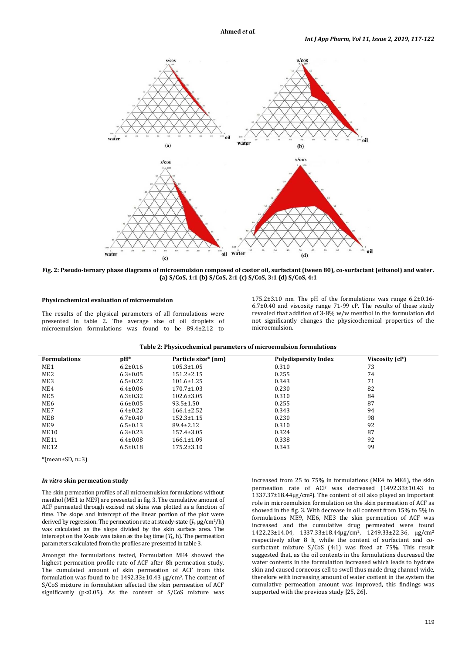

**Fig. 2: Pseudo-ternary phase diagrams of microemulsion composed of castor oil, surfactant (tween 80), co-surfactant (ethanol) and water. (a) S/CoS, 1:1 (b) S/CoS, 2:1 (c) S/CoS, 3:1 (d) S/CoS, 4:1** 

## **Physicochemical evaluation of microemulsion**

The results of the physical parameters of all formulations were presented in table 2. The average size of oil droplets of microemulsion formulations was found to be 89.4±2.12 to

175.2±3.10 nm. The pH of the formulations was range 6.2±0.16- 6.7±0.40 and viscosity range 71-99 cP. The results of these study revealed that addition of 3-8% w/w menthol in the formulation did not significantly changes the physicochemical properties of the microemulsion.

| Table 2: Physicochemical parameters of microemulsion formulations |  |
|-------------------------------------------------------------------|--|
|                                                                   |  |

| <b>Formulations</b> | $pH*$          | Particle size* (nm) | <b>Polydispersity Index</b> | Viscosity (cP) |
|---------------------|----------------|---------------------|-----------------------------|----------------|
| ME1                 | $6.2 \pm 0.16$ | $105.3 \pm 1.05$    | 0.310                       | 73             |
| ME <sub>2</sub>     | $6.3 \pm 0.05$ | $151.2 \pm 2.15$    | 0.255                       | 74             |
| ME3                 | $6.5 \pm 0.22$ | $101.6 \pm 1.25$    | 0.343                       | 71             |
| ME4                 | $6.4 \pm 0.06$ | $170.7 \pm 1.03$    | 0.230                       | 82             |
| ME5                 | $6.3 \pm 0.32$ | $102.6 \pm 3.05$    | 0.310                       | 84             |
| ME <sub>6</sub>     | $6.6 \pm 0.05$ | $93.5 \pm 1.50$     | 0.255                       | 87             |
| ME7                 | $6.4 \pm 0.22$ | $166.1 \pm 2.52$    | 0.343                       | 94             |
| ME8                 | $6.7 \pm 0.40$ | $152.3 \pm 1.15$    | 0.230                       | 98             |
| ME9                 | $6.5 \pm 0.13$ | $89.4 \pm 2.12$     | 0.310                       | 92             |
| ME10                | $6.3 \pm 0.23$ | $157.4 \pm 3.05$    | 0.324                       | 87             |
| ME11                | $6.4 \pm 0.08$ | $166.1 \pm 1.09$    | 0.338                       | 92             |
| ME12                | $6.5 \pm 0.18$ | $175.2 \pm 3.10$    | 0.343                       | 99             |
|                     |                |                     |                             |                |

\*(mean±SD, n=3)

#### *In vitro* **skin permeation study**

The skin permeation profiles of all microemulsion formulations without menthol (ME1 to ME9) are presented in fig. 3. The cumulative amount of ACF permeated through excised rat skins was plotted as a function of time. The slope and intercept of the linear portion of the plot were derived by regression. The permeation rate at steady-state  $(J_s, \mu g/cm^2/h)$ was calculated as the slope divided by the skin surface area. The intercept on the X-axis was taken as the lag time  $(T_L, h)$ . The permeation parameters calculated from the profiles are presented in table 3.

Amongst the formulations tested, Formulation ME4 showed the highest permeation profile rate of ACF after 8h permeation study. The cumulated amount of skin permeation of ACF from this formulation was found to be 1492.33±10.43 µg/cm2. The content of S/CoS mixture in formulation affected the skin permeation of ACF significantly ( $p$ <0.05). As the content of  $S/CoS$  mixture was increased from 25 to 75% in formulations (ME4 to ME6), the skin permeation rate of ACF was decreased (1492.33±10.43 to 1337.37±18.44µg/cm2). The content of oil also played an important role in microemulsion formulation on the skin permeation of ACF as showed in the fig. 3. With decrease in oil content from 15% to 5% in formulations ME9, ME6, ME3 the skin permeation of ACF was increased and the cumulative drug permeated were found 1422.23±14.04, 1337.33±18.44µg/cm2, 1249.33±22.36, µg/cm<sup>2</sup> respectively after 8 h, while the content of surfactant and cosurfactant mixture S/CoS (4:1) was fixed at 75%. This result suggested that, as the oil contents in the formulations decreased the water contents in the formulation increased which leads to hydrate skin and caused corneous cell to swell thus made drug channel wide, therefore with increasing amount of water content in the system the cumulative permeation amount was improved, this findings was supported with the previous study [25, 26].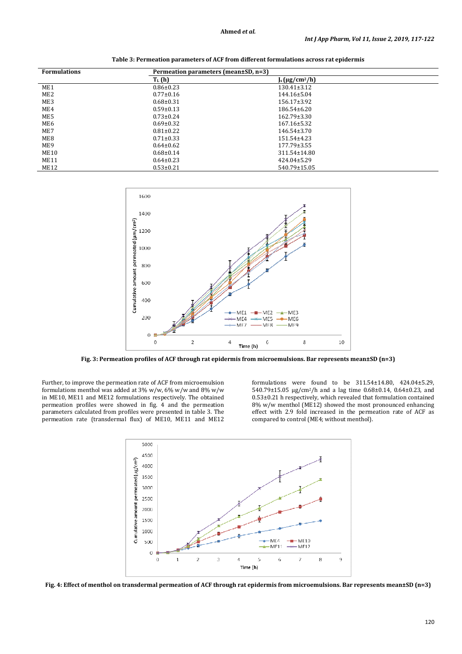| <b>Formulations</b> | Permeation parameters (mean±SD, n=3) |                     |  |
|---------------------|--------------------------------------|---------------------|--|
|                     | $T_L(h)$                             | $J_s(\mu g/cm^2/h)$ |  |
| ME1                 | $0.86 \pm 0.23$                      | $130.41 \pm 3.12$   |  |
| ME <sub>2</sub>     | $0.77 \pm 0.16$                      | 144.16±5.04         |  |
| ME3                 | $0.68 \pm 0.31$                      | $156.17 \pm 3.92$   |  |
| ME4                 | $0.59 \pm 0.13$                      | 186.54±6.20         |  |
| ME5                 | $0.73 \pm 0.24$                      | $162.79 \pm 3.30$   |  |
| ME6                 | $0.69 \pm 0.32$                      | $167.16 \pm 5.32$   |  |
| ME7                 | $0.81 \pm 0.22$                      | $146.54 \pm 3.70$   |  |
| ME8                 | $0.71 \pm 0.33$                      | 151.54±4.23         |  |
| ME9                 | $0.64 \pm 0.62$                      | 177.79±3.55         |  |
| <b>ME10</b>         | $0.68 \pm 0.14$                      | 311.54±14.80        |  |
| <b>ME11</b>         | $0.64 \pm 0.23$                      | 424.04±5.29         |  |
| <b>ME12</b>         | $0.53 \pm 0.21$                      | 540.79±15.05        |  |

**Table 3: Permeation parameters of ACF from different formulations across rat epidermis** 



**Fig. 3: Permeation profiles of ACF through rat epidermis from microemulsions. Bar represents mean±SD (n=3)** 

Further, to improve the permeation rate of ACF from microemulsion formulations menthol was added at 3% w/w, 6% w/w and 8% w/w in ME10, ME11 and ME12 formulations respectively. The obtained permeation profiles were showed in fig. 4 and the permeation parameters calculated from profiles were presented in table 3. The permeation rate (transdermal flux) of ME10, ME11 and ME12 formulations were found to be 311.54±14.80, 424.04±5.29, 540.79±15.05 µg/cm2/h and a lag time 0.68±0.14, 0.64±0.23, and 0.53±0.21 h respectively, which revealed that formulation contained 8% w/w menthol (ME12) showed the most pronounced enhancing effect with 2.9 fold increased in the permeation rate of ACF as compared to control (ME4; without menthol).



**Fig. 4: Effect of menthol on transdermal permeation of ACF through rat epidermis from microemulsions. Bar represents mean±SD (n=3)**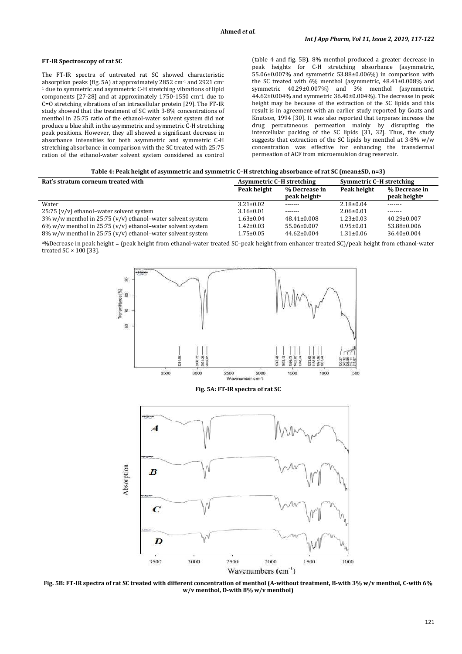## **FT-IR Spectroscopy of rat SC**

The FT-IR spectra of untreated rat SC showed characteristic absorption peaks (fig. 5A) at approximately 2852 cm-1 and 2921 cm– <sup>1</sup> due to symmetric and asymmetric C-H stretching vibrations of lipid components [27-28] and at approximately 1750-1550 cm–1 due to C=O stretching vibrations of an intracellular protein [29]. The FT-IR study showed that the treatment of SC with 3-8% concentrations of menthol in 25:75 ratio of the ethanol-water solvent system did not produce a blue shift in the asymmetric and symmetric C-H stretching peak positions. However, they all showed a significant decrease in absorbance intensities for both asymmetric and symmetric C-H stretching absorbance in comparison with the SC treated with 25:75 ration of the ethanol-water solvent system considered as control (table 4 and fig. 5B). 8% menthol produced a greater decrease in peak heights for C-H stretching absorbance (asymmetric, 55.06±0.007% and symmetric 53.88±0.006%) in comparison with the SC treated with 6% menthol (asymmetric, 48.41±0.008% and symmetric 40.29±0.007%) and 3% menthol (asymmetric, 44.62±0.004% and symmetric 36.40±0.004%). The decrease in peak height may be because of the extraction of the SC lipids and this result is in agreement with an earlier study reported by Goats and Knutson, 1994 [30]. It was also reported that terpenes increase the drug percutaneous permeation mainly by disrupting the intercellular packing of the SC lipids [31, 32]. Thus, the study suggests that extraction of the SC lipids by menthol at 3-8% w/w concentration was effective for enhancing the transdermal permeation of ACF from microemulsion drug reservoir.

| Table 4: Peak height of asymmetric and symmetric C-H stretching absorbance of rat SC (mean±SD, n=3) |
|-----------------------------------------------------------------------------------------------------|
|-----------------------------------------------------------------------------------------------------|

| Rat's stratum corneum treated with                            | <b>Asymmetric C-H stretching</b> |                                           | Symmetric C-H stretching |                                           |
|---------------------------------------------------------------|----------------------------------|-------------------------------------------|--------------------------|-------------------------------------------|
|                                                               | Peak height                      | % Decrease in<br>peak height <sup>a</sup> | Peak height              | % Decrease in<br>peak height <sup>a</sup> |
| Water                                                         | $3.21 \pm 0.02$                  | -------                                   | $2.18 \pm 0.04$          | -------                                   |
| 25:75 (v/v) ethanol-water solvent system                      | $3.16 \pm 0.01$                  | -------                                   | $2.06 \pm 0.01$          | -------                                   |
| $3\%$ w/w menthol in 25:75 (v/v) ethanol-water solvent system | $1.63 \pm 0.04$                  | $48.41 \pm 0.008$                         | $1.23 \pm 0.03$          | $40.29 \pm 0.007$                         |
| $6\%$ w/w menthol in 25:75 (v/v) ethanol-water solvent system | $1.42 \pm 0.03$                  | 55.06±0.007                               | $0.95 \pm 0.01$          | 53.88±0.006                               |
| $8\%$ w/w menthol in 25:75 (v/v) ethanol-water solvent system | $1.75 \pm 0.05$                  | $44.62 \pm 0.004$                         | $1.31 \pm 0.06$          | $36.40 \pm 0.004$                         |

<sup>a</sup>%Decrease in peak height = (peak height from ethanol-water treated SC–peak height from enhancer treated SC)/peak height from ethanol-water treated SC × 100 [33].



**Fig. 5A: FT-IR spectra of rat SC** 



**Fig. 5B: FT-IR spectra of rat SC treated with different concentration of menthol (A-without treatment, B-with 3% w/v menthol, C-with 6% w/v menthol, D-with 8% w/v menthol)**